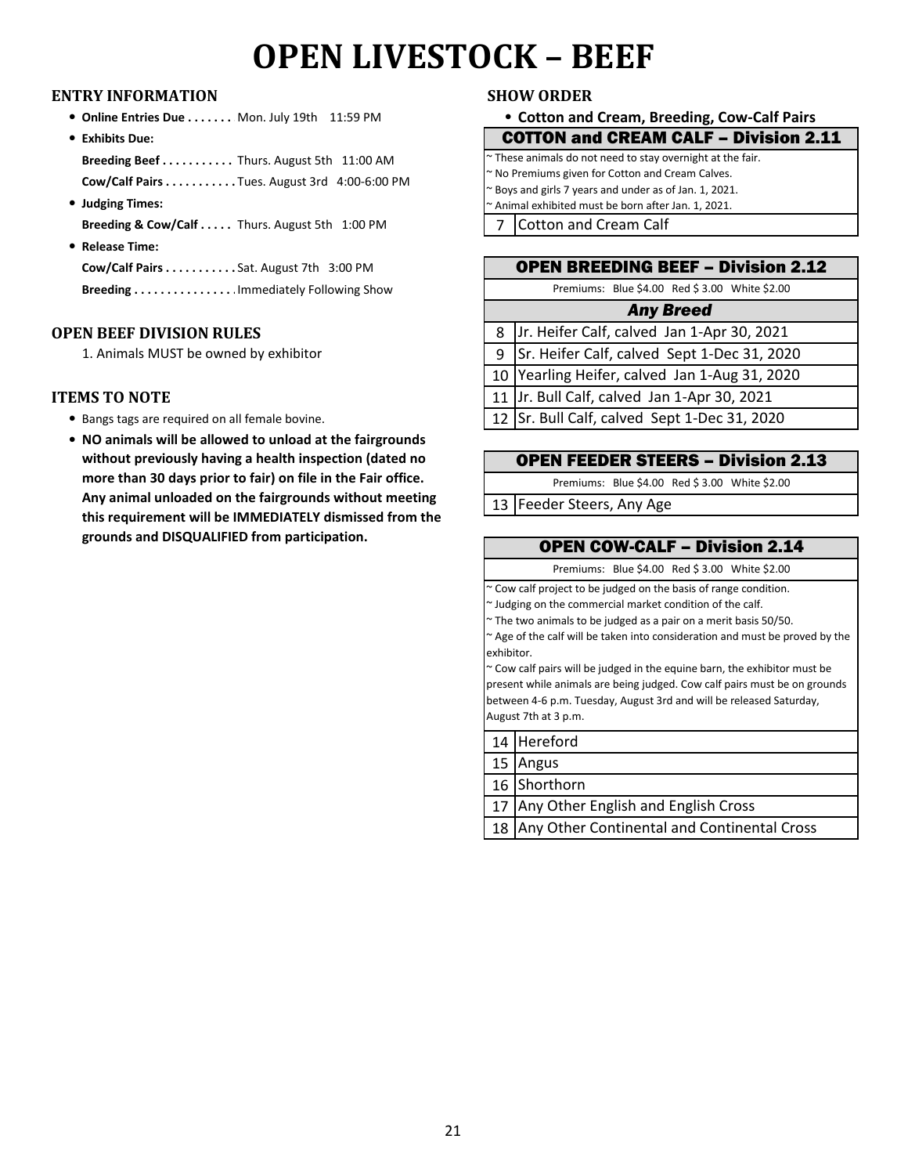## **OPEN LIVESTOCK – BEEF**

### **ENTRY INFORMATION SHOW ORDER**

- **Online Entries Due . . . . . . . Mon. July 19th 11:59 PM**
- **Exhibits Due: Breeding Beef . . . . . . . . . . . .** Thurs. August 5th 11:00 AM **Cow/Calf Pairs . . . . . . . . . . . .**Tues. August 3rd 4:00-6:00 PM
- **Judging Times:** Breeding & Cow/Calf . . . . . Thurs. August 5th 1:00 PM
- **Release Time: Cow/Calf Pairs . . . . . . . . . . . .**Sat. August 7th 3:00 PM

**Breeding . . . . . . . . . . . . . . . .** Immediately Following Show

### **OPEN BEEF DIVISION RULES**

1. Animals MUST be owned by exhibitor

### **ITEMS TO NOTE**

- Bangs tags are required on all female bovine.
- **NO animals will be allowed to unload at the fairgrounds without previously having a health inspection (dated no more than 30 days prior to fair) on file in the Fair office. Any animal unloaded on the fairgrounds without meeting this requirement will be IMMEDIATELY dismissed from the grounds and DISQUALIFIED from participation.**

### **Cotton and Cream, Breeding, Cow-Calf Pairs**

| <b>COTTON and CREAM CALF - Division 2.11</b> |  |
|----------------------------------------------|--|
|----------------------------------------------|--|

| $\sim$ These animals do not need to stay overnight at the fair. |  |
|-----------------------------------------------------------------|--|
| ~ No Premiums given for Cotton and Cream Calves.                |  |
| $\sim$ Boys and girls 7 years and under as of Jan. 1, 2021.     |  |
| $\sim$ Animal exhibited must be born after Jan. 1, 2021.        |  |
|                                                                 |  |

7 Cotton and Cream Calf

| <b>OPEN BREEDING BEEF - Division 2.12</b>       |  |  |
|-------------------------------------------------|--|--|
| Premiums: Blue \$4.00 Red \$3.00 White \$2.00   |  |  |
| <b>Any Breed</b>                                |  |  |
| 8 Jr. Heifer Calf, calved Jan 1-Apr 30, 2021    |  |  |
| 9   Sr. Heifer Calf, calved Sept 1-Dec 31, 2020 |  |  |
| 10 Yearling Heifer, calved Jan 1-Aug 31, 2020   |  |  |
| 11 Jr. Bull Calf, calved Jan 1-Apr 30, 2021     |  |  |
| 12 Sr. Bull Calf, calved Sept 1-Dec 31, 2020    |  |  |

### OPEN FEEDER STEERS – Division 2.13

Premiums: Blue \$4.00 Red \$ 3.00 White \$2.00

13 Feeder Steers, Any Age

### OPEN COW-CALF – Division 2.14

Premiums: Blue \$4.00 Red \$ 3.00 White \$2.00

~ Cow calf project to be judged on the basis of range condition.

~ Judging on the commercial market condition of the calf.

~ The two animals to be judged as a pair on a merit basis 50/50.

~ Age of the calf will be taken into consideration and must be proved by the exhibitor.

~ Cow calf pairs will be judged in the equine barn, the exhibitor must be present while animals are being judged. Cow calf pairs must be on grounds between 4-6 p.m. Tuesday, August 3rd and will be released Saturday, August 7th at 3 p.m.

- 14 Hereford
- 15 Angus

16 Shorthorn

17 Any Other English and English Cross

18 Any Other Continental and Continental Cross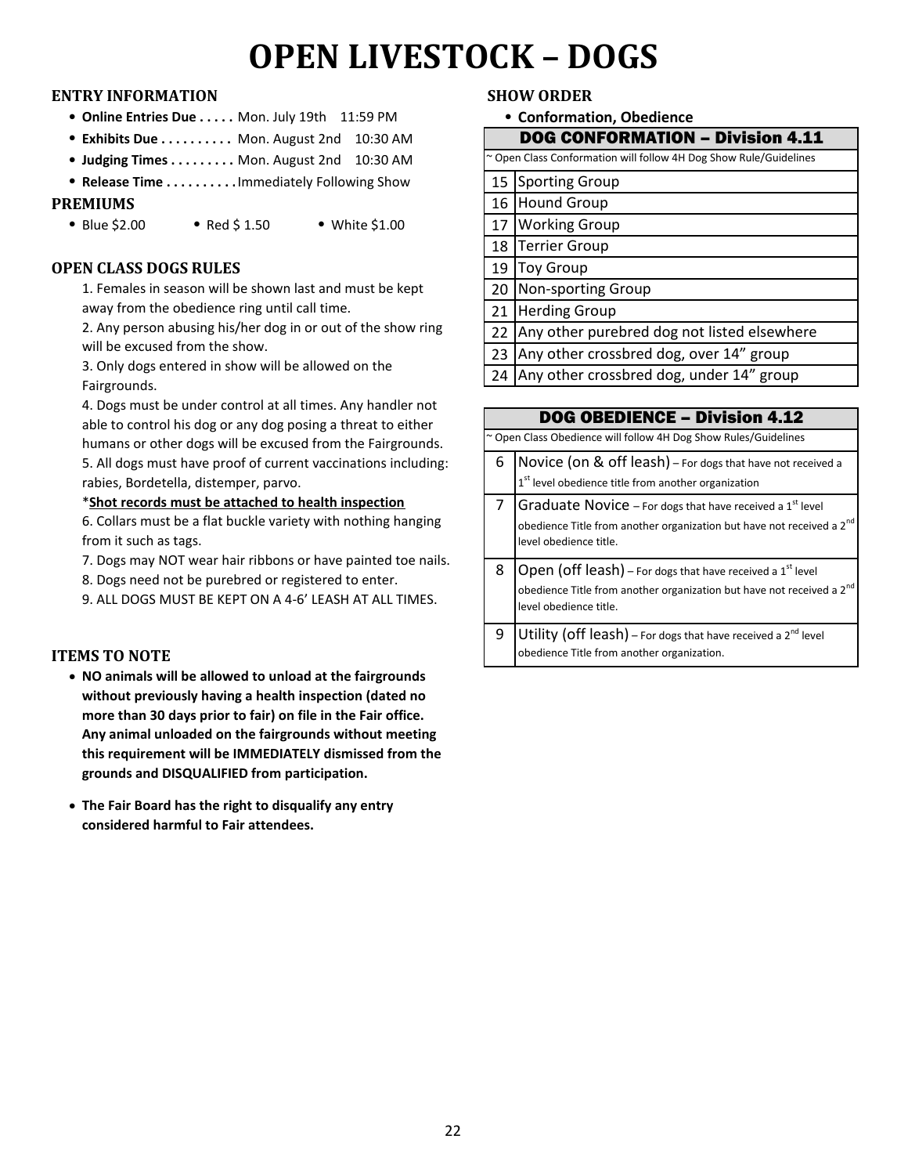# **OPEN LIVESTOCK – DOGS**

### **ENTRY INFORMATION SHOW ORDER**

- **Online Entries Due . . . . . Mon. July 19th 11:59 PM**
- <sup>l</sup> **Exhibits Due . . . . . . . . . . . .**Mon. August 2nd 10:30 AM
- <sup>l</sup> **Judging Times . . . . . . . . . . . .** Mon. August 2nd 10:30 AM
- **Release Time . . . . . . . . . . Immediately Following Show**

### **PREMIUMS**

• Blue \$2.00 • Red \$ 1.50 • White \$1.00

### **OPEN CLASS DOGS RULES**

1. Females in season will be shown last and must be kept away from the obedience ring until call time.

2. Any person abusing his/her dog in or out of the show ring will be excused from the show.

3. Only dogs entered in show will be allowed on the Fairgrounds.

4. Dogs must be under control at all times. Any handler not able to control his dog or any dog posing a threat to either humans or other dogs will be excused from the Fairgrounds.

5. All dogs must have proof of current vaccinations including: rabies, Bordetella, distemper, parvo.

### \***Shot records must be attached to health inspection**

6. Collars must be a flat buckle variety with nothing hanging from it such as tags.

7. Dogs may NOT wear hair ribbons or have painted toe nails.

8. Dogs need not be purebred or registered to enter.

9. ALL DOGS MUST BE KEPT ON A 4-6' LEASH AT ALL TIMES.

### **ITEMS TO NOTE**

- **NO animals will be allowed to unload at the fairgrounds without previously having a health inspection (dated no more than 30 days prior to fair) on file in the Fair office. Any animal unloaded on the fairgrounds without meeting this requirement will be IMMEDIATELY dismissed from the grounds and DISQUALIFIED from participation.**
- **The Fair Board has the right to disqualify any entry considered harmful to Fair attendees.**

**Conformation, Obedience**

|    | <b>DOG CONFORMATION - Division 4.11</b>                           |
|----|-------------------------------------------------------------------|
|    | ~ Open Class Conformation will follow 4H Dog Show Rule/Guidelines |
| 15 | Sporting Group                                                    |
| 16 | Hound Group                                                       |
| 17 | <b>Working Group</b>                                              |
| 18 | <b>Terrier Group</b>                                              |
| 19 | <b>Toy Group</b>                                                  |
| 20 | Non-sporting Group                                                |
| 21 | <b>Herding Group</b>                                              |
| 22 | Any other purebred dog not listed elsewhere                       |
| 23 | Any other crossbred dog, over 14" group                           |
| 24 | Any other crossbred dog, under 14" group                          |

|   | <b>DOG OBEDIENCE - Division 4.12</b>                                                                                                                                                  |
|---|---------------------------------------------------------------------------------------------------------------------------------------------------------------------------------------|
|   | ~ Open Class Obedience will follow 4H Dog Show Rules/Guidelines                                                                                                                       |
| 6 | Novice (on & off leash) - For dogs that have not received a<br>1 <sup>st</sup> level obedience title from another organization                                                        |
|   | Graduate Novice - For dogs that have received a $1st$ level<br>obedience Title from another organization but have not received a 2 <sup>nd</sup><br>level obedience title.            |
| 8 | Open (off leash) - For dogs that have received a 1 <sup>st</sup> level<br>obedience Title from another organization but have not received a 2 <sup>nd</sup><br>level obedience title. |
| 9 | Utility (off leash) – For dogs that have received a $2^{nd}$ level<br>obedience Title from another organization.                                                                      |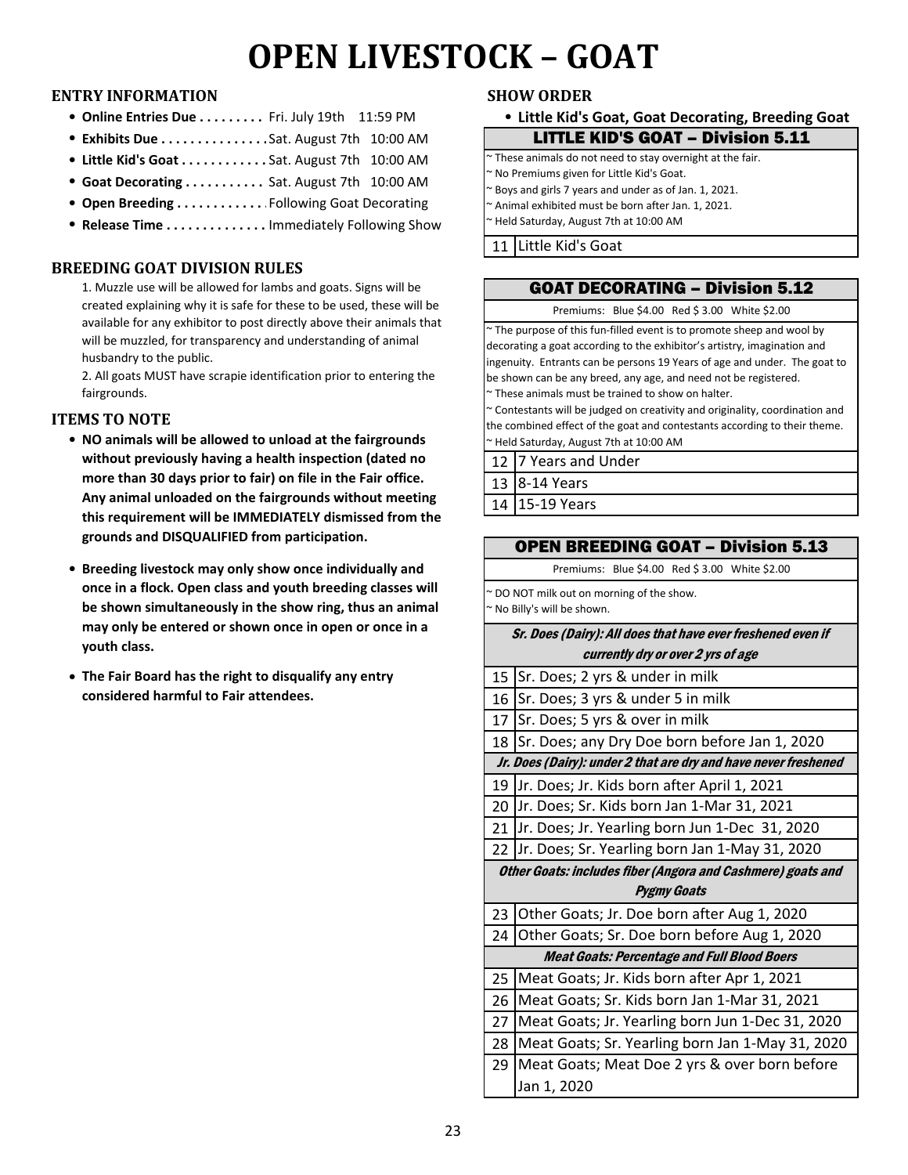# **OPEN LIVESTOCK – GOAT**

### **ENTRY INFORMATION SHOW ORDER**

- <sup>l</sup> **Online Entries Due . . . . . . . . . . . . . . . . . . .** Fri. July 19th 11:59 PM <sup>l</sup> **Little Kid's Goat, Goat Decorating, Breeding Goat**
- <sup>l</sup> **Exhibits Due . . . . . . . . . . . . . . . .**Sat. August 7th 10:00 AM
- <sup>l</sup> **Little Kid's Goat . . . . . . . . . . . . . . . . .** Sat. August 7th 10:00 AM
- <sup>l</sup> **Goat Decorating . . . . . . . . . . . . . . .** Sat. August 7th 10:00 AM
- **Open Breeding . . . . . . . . . . . . Following Goat Decorating**
- **Release Time . . . . . . . . . . . . . . Immediately Following Show**

### **BREEDING GOAT DIVISION RULES**

1. Muzzle use will be allowed for lambs and goats. Signs will be created explaining why it is safe for these to be used, these will be available for any exhibitor to post directly above their animals that will be muzzled, for transparency and understanding of animal husbandry to the public.

2. All goats MUST have scrapie identification prior to entering the fairgrounds.

### **ITEMS TO NOTE**

- NO animals will be allowed to unload at the fairgrounds **Fig. 20**  $\sim$  Held Saturday, August 7th at 10:00 AM **without previously having a health inspection (dated no more than 30 days prior to fair) on file in the Fair office. Any animal unloaded on the fairgrounds without meeting this requirement will be IMMEDIATELY dismissed from the grounds and DISQUALIFIED from participation.**
- **Breeding livestock may only show once individually and once in a flock. Open class and youth breeding classes will be shown simultaneously in the show ring, thus an animal may only be entered or shown once in open or once in a youth class.**
- The Fair Board has the right to disqualify any entry **Part 2** | 15 **considered harmful to Fair attendees.**

| <b>LITTLE KID'S GOAT - Division 5.11</b>                 |  |
|----------------------------------------------------------|--|
| These animals do not need to stay overnight at the fair. |  |

~ No Premiums given for Little Kid's Goat.

~ Boys and girls 7 years and under as of Jan. 1, 2021.

Animal exhibited must be born after Jan. 1, 2021.

~ Held Saturday, August 7th at 10:00 AM

11 Little Kid's Goat

## GOAT DECORATING – Division 5.12

Premiums: Blue \$4.00 Red \$ 3.00 White \$2.00

~ The purpose of this fun-filled event is to promote sheep and wool by decorating a goat according to the exhibitor's artistry, imagination and ingenuity. Entrants can be persons 19 Years of age and under. The goat to be shown can be any breed, any age, and need not be registered.

~ These animals must be trained to show on halter.

~ Contestants will be judged on creativity and originality, coordination and the combined effect of the goat and contestants according to their theme.

12 7 Years and Under 13 8-14 Years

14 15-19 Years

### OPEN BREEDING GOAT – Division 5.13

Premiums: Blue \$4.00 Red \$ 3.00 White \$2.00

~ DO NOT milk out on morning of the show. ~ No Billy's will be shown.

### Sr. Does (Dairy): All does that have ever freshened even if currently dry or over 2 yrs of age

| 15                        | Sr. Does; 2 yrs & under in milk                                 |  |
|---------------------------|-----------------------------------------------------------------|--|
| 16                        | Sr. Does; 3 yrs & under 5 in milk                               |  |
| 17                        | Sr. Does; 5 yrs & over in milk                                  |  |
| 18                        | Sr. Does; any Dry Doe born before Jan 1, 2020                   |  |
|                           | Jr. Does (Dairy): under 2 that are dry and have never freshened |  |
| 19                        | Jr. Does; Jr. Kids born after April 1, 2021                     |  |
| 20                        | Jr. Does; Sr. Kids born Jan 1-Mar 31, 2021                      |  |
| 21                        | Jr. Does; Jr. Yearling born Jun 1-Dec 31, 2020                  |  |
| 22                        | Jr. Does; Sr. Yearling born Jan 1-May 31, 2020                  |  |
|                           | Other Goats: includes fiber (Angora and Cashmere) goats and     |  |
| <i><b>Pygmy Goats</b></i> |                                                                 |  |
|                           |                                                                 |  |
| 23                        | Other Goats; Jr. Doe born after Aug 1, 2020                     |  |
| 24                        | Other Goats; Sr. Doe born before Aug 1, 2020                    |  |
|                           | <b>Meat Goats: Percentage and Full Blood Boers</b>              |  |
| 25                        | Meat Goats; Jr. Kids born after Apr 1, 2021                     |  |
| 26                        | Meat Goats; Sr. Kids born Jan 1-Mar 31, 2021                    |  |
| 27                        | Meat Goats; Jr. Yearling born Jun 1-Dec 31, 2020                |  |
| 28                        | Meat Goats; Sr. Yearling born Jan 1-May 31, 2020                |  |
| ا 29                      | Meat Goats; Meat Doe 2 yrs & over born before                   |  |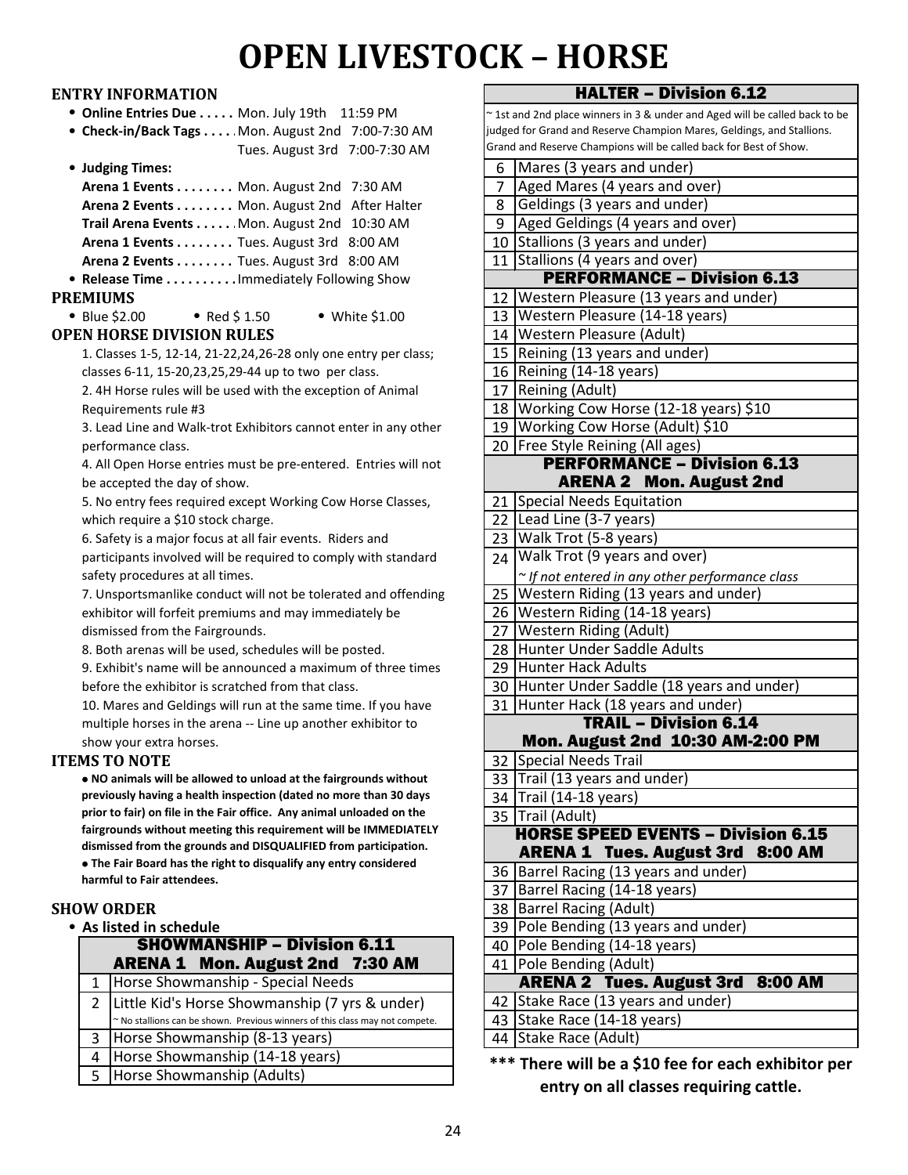# **OPEN LIVESTOCK – HORSE**

### **ENTRY INFORMATION**

**• Online Entries Due . . . . . Mon. July 19th 11:59 PM** 

<sup>l</sup> **Check-in/Back Tags . . . . . . . . . . . . .** Mon. August 2nd 7:00-7:30 AM Tues. August 3rd 7:00-7:30 AM

| • Judging Times:                            | 6. |
|---------------------------------------------|----|
| Arena 1 Events Mon. August 2nd 7:30 AM      |    |
| Arena 2 Events Mon. August 2nd After Halter | 8  |
| Trail Arena Events Mon. August 2nd 10:30 AM | 9  |
| Arena 1 Events Tues. August 3rd 8:00 AM     | 10 |
| Arena 2 Events Tues. August 3rd 8:00 AM     | 11 |
| • Release Time Immediately Following Show   |    |
|                                             |    |

### **PREMIUMS**

| $\bullet$ Blue \$2.00            | • Red $$1.50$ |
|----------------------------------|---------------|
| <b>OPEN HORSE DIVISION RULES</b> |               |

1. Classes 1-5, 12-14, 21-22,24,26-28 only one entry per class; classes 6-11, 15-20,23,25,29-44 up to two per class.

 $\bullet$  White \$1.00

2. 4H Horse rules will be used with the exception of Animal Requirements rule #3

3. Lead Line and Walk-trot Exhibitors cannot enter in any other performance class.

4. All Open Horse entries must be pre-entered. Entries will not be accepted the day of show.

5. No entry fees required except Working Cow Horse Classes, which require a \$10 stock charge.

6. Safety is a major focus at all fair events. Riders and

participants involved will be required to comply with standard safety procedures at all times.

7. Unsportsmanlike conduct will not be tolerated and offending exhibitor will forfeit premiums and may immediately be dismissed from the Fairgrounds.

8. Both arenas will be used, schedules will be posted.

9. Exhibit's name will be announced a maximum of three times before the exhibitor is scratched from that class.

10. Mares and Geldings will run at the same time. If you have multiple horses in the arena -- Line up another exhibitor to show your extra horses.

### **ITEMS TO NOTE**

l **NO animals will be allowed to unload at the fairgrounds without previously having a health inspection (dated no more than 30 days prior to fair) on file in the Fair office. Any animal unloaded on the fairgrounds without meeting this requirement will be IMMEDIATELY dismissed from the grounds and DISQUALIFIED from participation.**   $\bullet$  **The Fair Board has the right to disqualify any entry considered harmful to Fair attendees.**

### **SHOW ORDER**

**• As listed in schedule** 

|    | <b>SHOWMANSHIP - Division 6.11</b>                                           |  | 40 Pole Bending (14-18 years)                                                                                  |
|----|------------------------------------------------------------------------------|--|----------------------------------------------------------------------------------------------------------------|
|    | <b>ARENA 1 Mon. August 2nd 7:30 AM</b>                                       |  | 41   Pole Bending (Adult)                                                                                      |
|    | 1 Horse Showmanship - Special Needs                                          |  | <b>ARENA 2 Tues. August</b>                                                                                    |
|    | 2   Little Kid's Horse Showmanship (7 yrs & under)                           |  | 42 Stake Race (13 years and u                                                                                  |
|    | ~ No stallions can be shown. Previous winners of this class may not compete. |  | 43 Stake Race (14-18 years)                                                                                    |
| 3  | Horse Showmanship (8-13 years)                                               |  | 44 Stake Race (Adult)                                                                                          |
| 4  | Horse Showmanship (14-18 years)                                              |  | *** There will be a \$10 fee f                                                                                 |
| 5. | Horse Showmanship (Adults)                                                   |  | to a final contract the contract of the second contract of the second contract of the second contract of the s |

| ~1st and 2nd place winners in 3 & under and Aged will be called back to be |                                                                                                                                            |  |
|----------------------------------------------------------------------------|--------------------------------------------------------------------------------------------------------------------------------------------|--|
|                                                                            | judged for Grand and Reserve Champion Mares, Geldings, and Stallions.<br>Grand and Reserve Champions will be called back for Best of Show. |  |
| 6                                                                          | Mares (3 years and under)                                                                                                                  |  |
| 7                                                                          | Aged Mares (4 years and over)                                                                                                              |  |
| 8                                                                          | Geldings (3 years and under)                                                                                                               |  |
| 9                                                                          | Aged Geldings (4 years and over)                                                                                                           |  |
|                                                                            | 10 Stallions (3 years and under)                                                                                                           |  |
| 11                                                                         | Stallions (4 years and over)                                                                                                               |  |
|                                                                            | <b>PERFORMANCE - Division 6.13</b>                                                                                                         |  |
| 12                                                                         | Western Pleasure (13 years and under)                                                                                                      |  |
| 13                                                                         | Western Pleasure (14-18 years)                                                                                                             |  |
| 14                                                                         | Western Pleasure (Adult)                                                                                                                   |  |
| 15                                                                         | Reining (13 years and under)                                                                                                               |  |
| 16                                                                         | Reining (14-18 years)                                                                                                                      |  |
| 17                                                                         | Reining (Adult)                                                                                                                            |  |
|                                                                            | 18 Working Cow Horse (12-18 years) \$10                                                                                                    |  |
| 19                                                                         | Working Cow Horse (Adult) \$10                                                                                                             |  |
| 20                                                                         | Free Style Reining (All ages)                                                                                                              |  |
|                                                                            | <b>PERFORMANCE - Division 6.13</b>                                                                                                         |  |
|                                                                            | <b>ARENA 2 Mon. August 2nd</b>                                                                                                             |  |
| 21                                                                         | <b>Special Needs Equitation</b>                                                                                                            |  |
| 22                                                                         | Lead Line (3-7 years)                                                                                                                      |  |
| 23                                                                         | Walk Trot (5-8 years)                                                                                                                      |  |
| 24                                                                         | Walk Trot (9 years and over)                                                                                                               |  |
|                                                                            | ~ If not entered in any other performance class                                                                                            |  |
| 25                                                                         | Western Riding (13 years and under)                                                                                                        |  |
| 26                                                                         | Western Riding (14-18 years)                                                                                                               |  |
| 27                                                                         | <b>Western Riding (Adult)</b>                                                                                                              |  |
| 28                                                                         | Hunter Under Saddle Adults                                                                                                                 |  |
| 29                                                                         | <b>Hunter Hack Adults</b>                                                                                                                  |  |
| 30                                                                         | Hunter Under Saddle (18 years and under)                                                                                                   |  |
| 31                                                                         | Hunter Hack (18 years and under)                                                                                                           |  |
|                                                                            | <b>TRAIL - Division 6.14</b>                                                                                                               |  |
|                                                                            | Mon. August 2nd 10:30 AM-2:00 PM                                                                                                           |  |
| 32<br>33                                                                   | Special Needs Trail<br>Trail (13 years and under)                                                                                          |  |
|                                                                            | 34 Trail (14-18 years)                                                                                                                     |  |
|                                                                            | Trail (Adult)                                                                                                                              |  |
| 35                                                                         | <b>HORSE SPEED EVENTS - Division 6.15</b>                                                                                                  |  |
|                                                                            | <b>ARENA 1 Tues. August 3rd</b><br><b>8:00 AM</b>                                                                                          |  |
| 36                                                                         | Barrel Racing (13 years and under)                                                                                                         |  |
| 37                                                                         | Barrel Racing (14-18 years)                                                                                                                |  |
| 38                                                                         | <b>Barrel Racing (Adult)</b>                                                                                                               |  |
| 39                                                                         | Pole Bending (13 years and under)                                                                                                          |  |
| 40                                                                         | Pole Bending (14-18 years)                                                                                                                 |  |
| 41                                                                         | Pole Bending (Adult)                                                                                                                       |  |
|                                                                            | <b>ARENA 2 Tues. August 3rd 8:00 AM</b>                                                                                                    |  |
| 42                                                                         | Stake Race (13 years and under)                                                                                                            |  |
| 43                                                                         | Stake Race (14-18 years)                                                                                                                   |  |
| 44                                                                         | Stake Race (Adult)                                                                                                                         |  |
|                                                                            |                                                                                                                                            |  |

HALTER – Division 6.12

**\*\*\* There will be a \$10 fee for each exhibitor per entry on all classes requiring cattle.**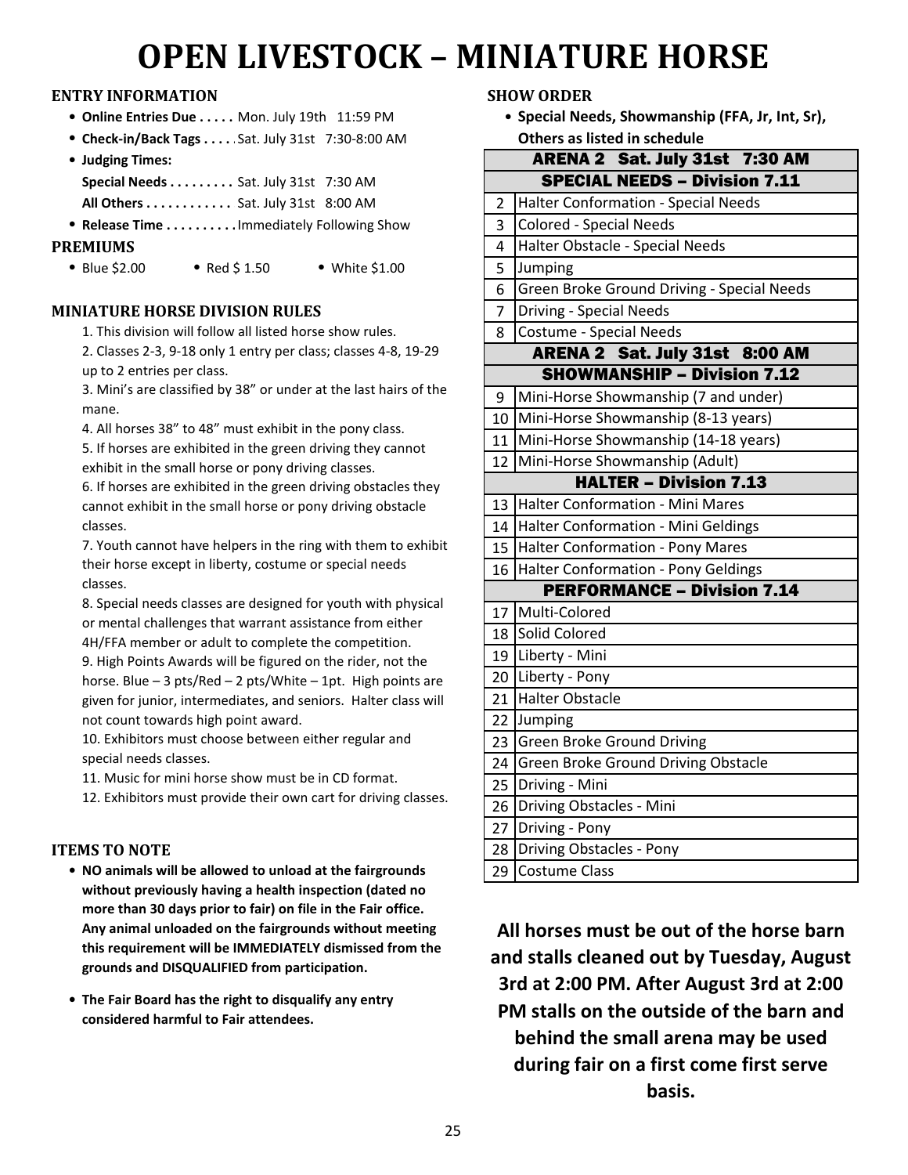# **OPEN LIVESTOCK – MINIATURE HORSE**

### **ENTRY INFORMATION SHOW ORDER**

- **Online Entries Due . . . . . Mon. July 19th 11:59 PM**
- <sup>l</sup> **Check-in/Back Tags . . . . . . . . . . . . .** Sat. July 31st 7:30-8:00 AM
- **Judging Times: Special Needs . . . . . . . . . . . . . .** Sat. July 31st 7:30 AM

**All Others . . . . . . . . . . . . Sat. July 31st 8:00 AM** 

- **Release Time . . . . . . . . . . Immediately Following Show PREMIUMS** 
	- $\bullet$  Blue \$2.00  $\bullet$  Red \$ 1.50  $\bullet$  White \$1.00

### **MINIATURE HORSE DIVISION RULES** 7

1. This division will follow all listed horse show rules.

2. Classes 2-3, 9-18 only 1 entry per class; classes 4-8, 19-29 up to 2 entries per class.

3. Mini's are classified by 38" or under at the last hairs of the mane.

4. All horses 38" to 48" must exhibit in the pony class.

5. If horses are exhibited in the green driving they cannot exhibit in the small horse or pony driving classes.

6. If horses are exhibited in the green driving obstacles they cannot exhibit in the small horse or pony driving obstacle classes.

7. Youth cannot have helpers in the ring with them to exhibit their horse except in liberty, costume or special needs classes.

8. Special needs classes are designed for youth with physical or mental challenges that warrant assistance from either 4H/FFA member or adult to complete the competition.

9. High Points Awards will be figured on the rider, not the horse. Blue  $-3$  pts/Red  $-2$  pts/White  $-1$ pt. High points are given for junior, intermediates, and seniors. Halter class will not count towards high point award.

10. Exhibitors must choose between either regular and special needs classes.

11. Music for mini horse show must be in CD format.

12. Exhibitors must provide their own cart for driving classes.

## **ITEMS TO NOTE**

- NO animals will be allowed to unload at the fairgrounds **All 29 without previously having a health inspection (dated no more than 30 days prior to fair) on file in the Fair office. Any animal unloaded on the fairgrounds without meeting this requirement will be IMMEDIATELY dismissed from the grounds and DISQUALIFIED from participation.**
- **The Fair Board has the right to disqualify any entry considered harmful to Fair attendees.**

**Special Needs, Showmanship (FFA, Jr, Int, Sr), Others as listed in schedule**

|                | ARENA 2 Sat. July 31st 7:30 AM             |
|----------------|--------------------------------------------|
|                | <b>SPECIAL NEEDS - Division 7.11</b>       |
| $\overline{2}$ | <b>Halter Conformation - Special Needs</b> |
| $\overline{3}$ | <b>Colored - Special Needs</b>             |
| 4              | Halter Obstacle - Special Needs            |
| 5              | Jumping                                    |
| 6              | Green Broke Ground Driving - Special Needs |
| $\overline{7}$ | <b>Driving - Special Needs</b>             |
| 8              | <b>Costume - Special Needs</b>             |
|                | ARENA 2 Sat. July 31st 8:00 AM             |
|                | <b>SHOWMANSHIP - Division 7.12</b>         |
| 9              | Mini-Horse Showmanship (7 and under)       |
| 10             | Mini-Horse Showmanship (8-13 years)        |
| 11             | Mini-Horse Showmanship (14-18 years)       |
| 12             | Mini-Horse Showmanship (Adult)             |
|                | <b>HALTER - Division 7.13</b>              |
| 13             | Halter Conformation - Mini Mares           |
| 14             | Halter Conformation - Mini Geldings        |
| 15             | Halter Conformation - Pony Mares           |
| 16             | Halter Conformation - Pony Geldings        |
|                | <b>PERFORMANCE - Division 7.14</b>         |
| 17             | Multi-Colored                              |
| 18             | Solid Colored                              |
| 19             | Liberty - Mini                             |
| 20             | Liberty - Pony                             |
| 21             | <b>Halter Obstacle</b>                     |
| 22             | Jumping                                    |
| 23             | Green Broke Ground Driving                 |
| 24             | Green Broke Ground Driving Obstacle        |
| 25             | Driving - Mini                             |
| 26             | Driving Obstacles - Mini                   |
| 27             | Driving - Pony                             |
| 28             | <b>Driving Obstacles - Pony</b>            |
| 29             | <b>Costume Class</b>                       |

**All horses must be out of the horse barn and stalls cleaned out by Tuesday, August 3rd at 2:00 PM. After August 3rd at 2:00 PM stalls on the outside of the barn and behind the small arena may be used during fair on a first come first serve basis.**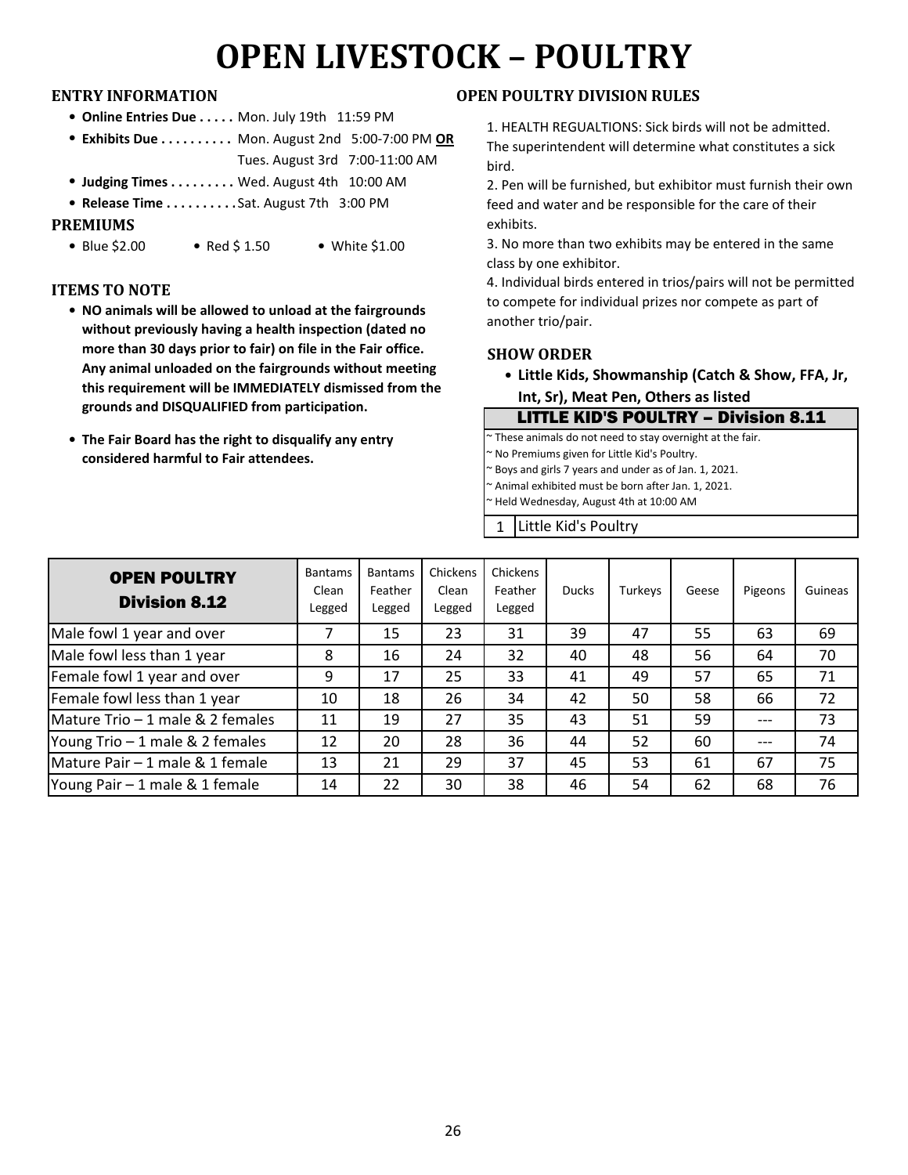# **OPEN LIVESTOCK – POULTRY**

- **Online Entries Due . . . . . Mon. July 19th 11:59 PM**
- Exhibits Due . . . . . . . . . Mon. August 2nd 5:00-7:00 PM OR Tues. August 3rd 7:00-11:00 AM
- **Judging Times . . . . . . . . . Wed. August 4th 10:00 AM**
- <sup>l</sup> **Release Time . . . . . . . . . . . . . . . . . .** Sat. August 7th 3:00 PM

### **PREMIUMS**

• Blue \$2.00 • Red \$ 1.50 • White \$1.00

### **ITEMS TO NOTE**

- **NO animals will be allowed to unload at the fairgrounds without previously having a health inspection (dated no more than 30 days prior to fair) on file in the Fair office. Any animal unloaded on the fairgrounds without meeting this requirement will be IMMEDIATELY dismissed from the grounds and DISQUALIFIED from participation.**
- **The Fair Board has the right to disqualify any entry considered harmful to Fair attendees.**

### **ENTRY INFORMATION OPEN POULTRY DIVISION RULES**

1. HEALTH REGUALTIONS: Sick birds will not be admitted. The superintendent will determine what constitutes a sick bird.

2. Pen will be furnished, but exhibitor must furnish their own feed and water and be responsible for the care of their exhibits.

3. No more than two exhibits may be entered in the same class by one exhibitor.

4. Individual birds entered in trios/pairs will not be permitted to compete for individual prizes nor compete as part of another trio/pair.

### **SHOW ORDER**

**• Little Kids, Showmanship (Catch & Show, FFA, Jr, Int, Sr), Meat Pen, Others as listed**

LITTLE KID'S POULTRY – Division 8.11 ~ These animals do not need to stay overnight at the fair. ~ No Premiums given for Little Kid's Poultry. ~ Boys and girls 7 years and under as of Jan. 1, 2021. Animal exhibited must be born after Jan. 1, 2021. ~ Held Wednesday, August 4th at 10:00 AM

1 Little Kid's Poultry

| <b>OPEN POULTRY</b><br><b>Division 8.12</b> | <b>Bantams</b><br>Clean<br>Legged | <b>Bantams</b><br>Feather<br>Legged | Chickens<br>Clean<br>Legged | Chickens<br>Feather<br>Legged | <b>Ducks</b> | Turkeys | Geese | Pigeons | Guineas |
|---------------------------------------------|-----------------------------------|-------------------------------------|-----------------------------|-------------------------------|--------------|---------|-------|---------|---------|
| Male fowl 1 year and over                   |                                   | 15                                  | 23                          | 31                            | 39           | 47      | 55    | 63      | 69      |
| Male fowl less than 1 year                  | 8                                 | 16                                  | 24                          | 32                            | 40           | 48      | 56    | 64      | 70      |
| Female fowl 1 year and over                 | 9                                 | 17                                  | 25                          | 33                            | 41           | 49      | 57    | 65      | 71      |
| Female fowl less than 1 year                | 10                                | 18                                  | 26                          | 34                            | 42           | 50      | 58    | 66      | 72      |
| Mature Trio - 1 male & 2 females            | 11                                | 19                                  | 27                          | 35                            | 43           | 51      | 59    | $---$   | 73      |
| Young Trio - 1 male & 2 females             | 12                                | 20                                  | 28                          | 36                            | 44           | 52      | 60    | ---     | 74      |
| Mature Pair - 1 male & 1 female             | 13                                | 21                                  | 29                          | 37                            | 45           | 53      | 61    | 67      | 75      |
| Young Pair - 1 male & 1 female              | 14                                | 22                                  | 30                          | 38                            | 46           | 54      | 62    | 68      | 76      |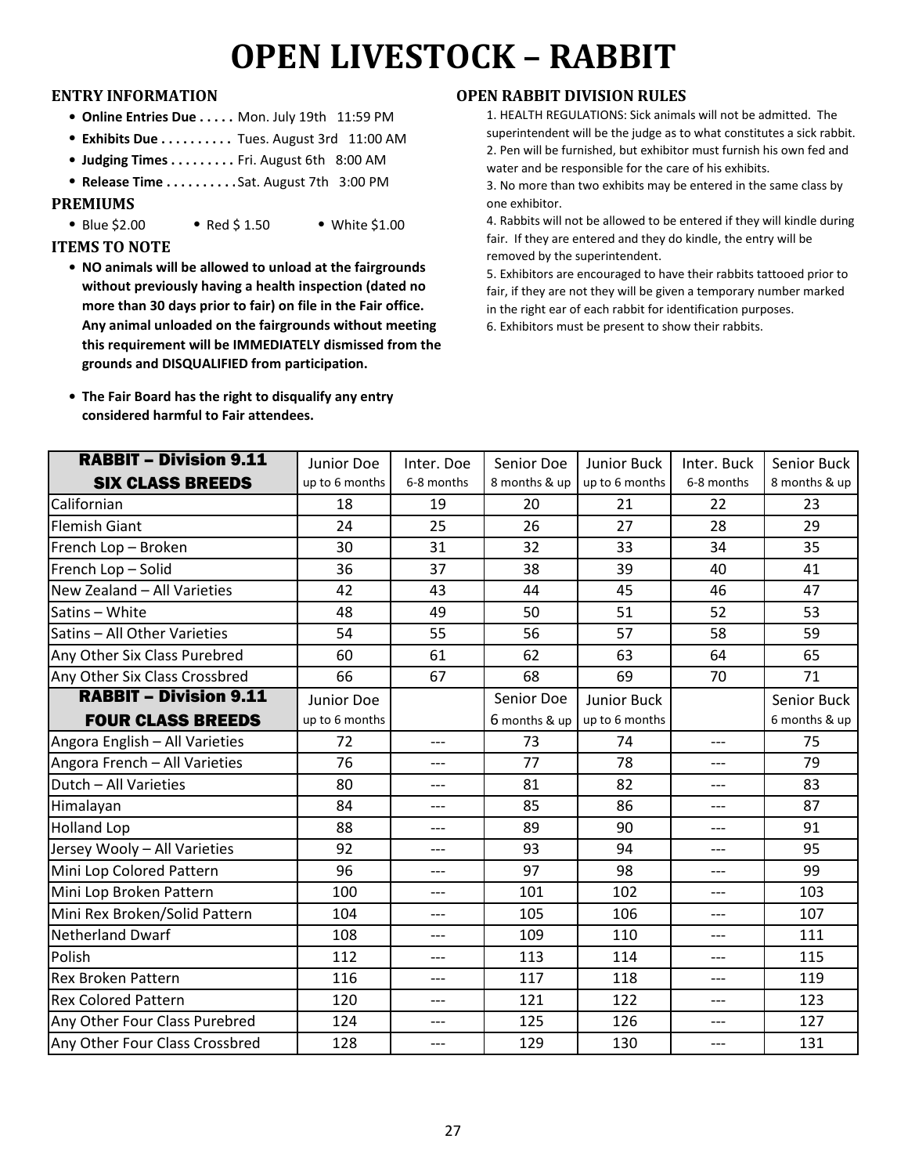# **OPEN LIVESTOCK – RABBIT**

- **Online Entries Due . . . . . Mon. July 19th 11:59 PM**
- <sup>l</sup> **Exhibits Due . . . . . . . . . . . . . . . . .** Tues. August 3rd 11:00 AM
- **Judging Times . . . . . . . . . Fri. August 6th 8:00 AM**
- <sup>l</sup> **Release Time . . . . . . . . . . . . . . . . . .** Sat. August 7th 3:00 PM

### **PREMIUMS**

• Blue \$2.00 • Red \$ 1.50 • White \$1.00

### **ITEMS TO NOTE**

- **NO animals will be allowed to unload at the fairgrounds without previously having a health inspection (dated no more than 30 days prior to fair) on file in the Fair office. Any animal unloaded on the fairgrounds without meeting this requirement will be IMMEDIATELY dismissed from the grounds and DISQUALIFIED from participation.**
- **The Fair Board has the right to disqualify any entry considered harmful to Fair attendees.**

### **ENTRY INFORMATION OPEN RABBIT DIVISION RULES**

- 1. HEALTH REGULATIONS: Sick animals will not be admitted. The superintendent will be the judge as to what constitutes a sick rabbit. 2. Pen will be furnished, but exhibitor must furnish his own fed and water and be responsible for the care of his exhibits.
- 3. No more than two exhibits may be entered in the same class by one exhibitor.

4. Rabbits will not be allowed to be entered if they will kindle during fair. If they are entered and they do kindle, the entry will be removed by the superintendent.

5. Exhibitors are encouraged to have their rabbits tattooed prior to fair, if they are not they will be given a temporary number marked in the right ear of each rabbit for identification purposes.

6. Exhibitors must be present to show their rabbits.

| <b>RABBIT - Division 9.11</b>  | Junior Doe     | Inter. Doe     | Senior Doe      | Junior Buck        | Inter. Buck | Senior Buck   |  |
|--------------------------------|----------------|----------------|-----------------|--------------------|-------------|---------------|--|
| <b>SIX CLASS BREEDS</b>        | up to 6 months | 6-8 months     | 8 months & up   | up to 6 months     | 6-8 months  | 8 months & up |  |
| Californian                    | 18             | 19             | 20              | 21                 | 22          | 23            |  |
| <b>Flemish Giant</b>           | 24             | 25             | 26              | 27                 | 28          | 29            |  |
| French Lop - Broken            | 30             | 31             | 32              | 33                 | 34          | 35            |  |
| French Lop - Solid             | 36             | 37             | 38              | 39                 | 40          | 41            |  |
| New Zealand - All Varieties    | 42             | 43             | 44              | 45                 | 46          | 47            |  |
| Satins - White                 | 48             | 49             | 50              | 51                 | 52          | 53            |  |
| Satins - All Other Varieties   | 54             | 55             | 56              | 57                 | 58          | 59            |  |
| Any Other Six Class Purebred   | 60             | 61<br>62<br>63 |                 |                    | 64          | 65            |  |
| Any Other Six Class Crossbred  | 66             | 67             | 68              | 69                 | 70          | 71            |  |
| <b>RABBIT - Division 9.11</b>  | Junior Doe     |                | Senior Doe      | <b>Junior Buck</b> |             | Senior Buck   |  |
| <b>FOUR CLASS BREEDS</b>       | up to 6 months |                | $6$ months & up | up to 6 months     |             | 6 months & up |  |
| Angora English - All Varieties | 72             | $---$          | 73              | 74                 | $---$       | 75            |  |
| Angora French - All Varieties  | 76             | ---            | 77              | 78                 | ---         | 79            |  |
| Dutch - All Varieties          | 80             | ---            | 81              | 82                 | ---         | 83            |  |
| Himalayan                      | 84             | ---            | 85              | 86                 | ---         | 87            |  |
| <b>Holland Lop</b>             | 88             | ---            | 89              | 90                 | ---         | 91            |  |
| Jersey Wooly - All Varieties   | 92             | ---            | 93              | 94                 | ---         | 95            |  |
| Mini Lop Colored Pattern       | 96             | $---$          | 97              | 98                 |             | 99            |  |
| Mini Lop Broken Pattern        | 100            | ---            | 101             | 102                | ---         | 103           |  |
| Mini Rex Broken/Solid Pattern  | 104            | ---            | 105             | 106                | ---         | 107           |  |
| <b>Netherland Dwarf</b>        | 108            | ---            | 109             | 110                | ---         | 111           |  |
| Polish                         | 112            | ---            | 113             | 114                | ---         | 115           |  |
| <b>Rex Broken Pattern</b>      | 116            | $---$          | 117             | 118                | ---         | 119           |  |
| <b>Rex Colored Pattern</b>     | 120            | ---            | 121             | 122                | ---         | 123           |  |
| Any Other Four Class Purebred  | 124            | $---$          | 125             | 126                | ---         | 127           |  |
| Any Other Four Class Crossbred | 128            | $---$          | 129             | 130                | ---         | 131           |  |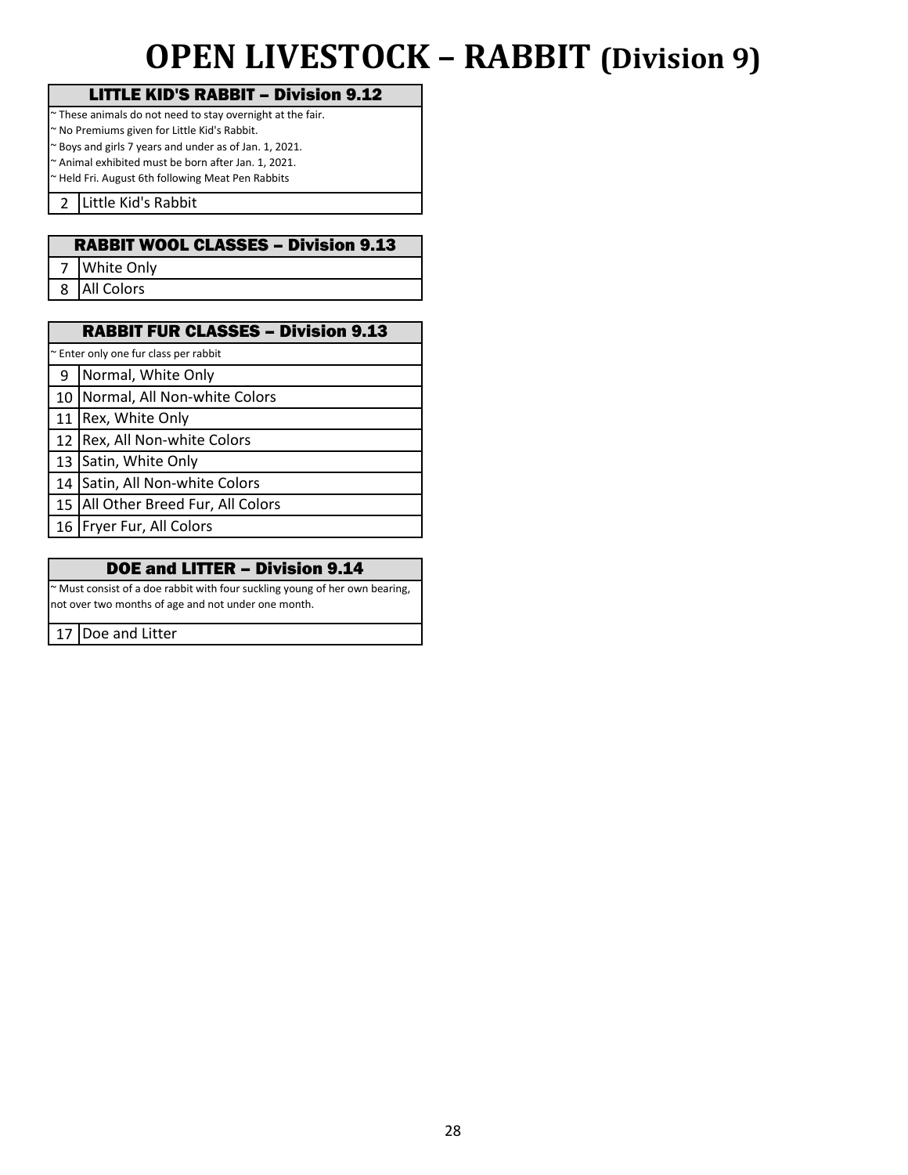## **OPEN LIVESTOCK – RABBIT (Division 9)**

## LITTLE KID'S RABBIT – Division 9.12

~ These animals do not need to stay overnight at the fair.

~ No Premiums given for Little Kid's Rabbit. ~ Boys and girls 7 years and under as of Jan. 1, 2021.

~ Animal exhibited must be born after Jan. 1, 2021.

~ Held Fri. August 6th following Meat Pen Rabbits

2 Little Kid's Rabbit

## RABBIT WOOL CLASSES – Division 9.13

7 White Only

8 All Colors

## RABBIT FUR CLASSES – Division 9.13

Enter only one fur class per rabbit

9 Normal, White Only

10 Normal, All Non-white Colors

11 Rex, White Only

12 Rex, All Non-white Colors

13 Satin, White Only

14 Satin, All Non-white Colors

15 All Other Breed Fur, All Colors

not over two months of age and not under one month.

16 Fryer Fur, All Colors

### DOE and LITTER – Division 9.14

~ Must consist of a doe rabbit with four suckling young of her own bearing,

17 Doe and Litter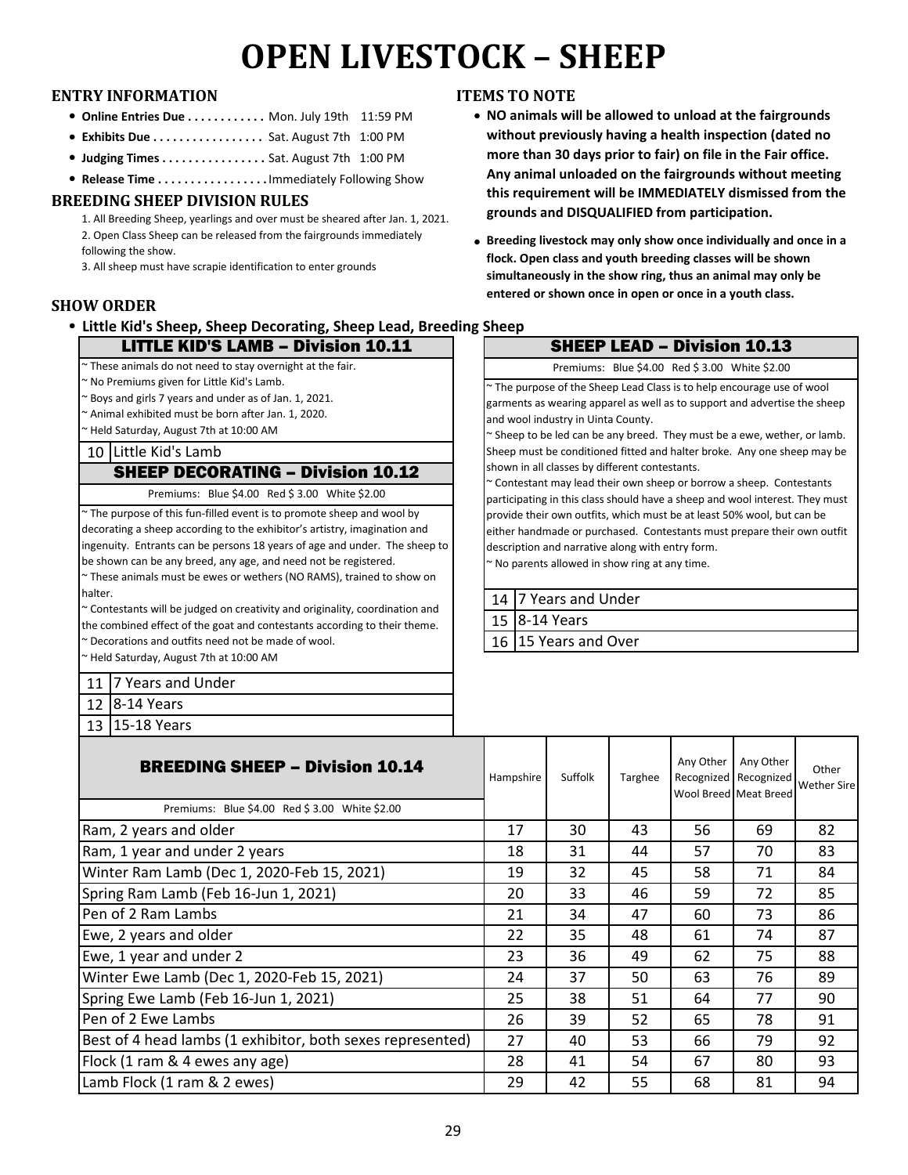# **OPEN LIVESTOCK – SHEEP**

### **ENTRY INFORMATION ITEMS TO NOTE**

- **Online Entries Due . . . . . . . . . . . Mon. July 19th 11:59 PM**
- <sup>l</sup> **Exhibits Due . . . . . . . . . . . . . . . . . . . . .** Sat. August 7th 1:00 PM
- **Judging Times . . . . . . . . . . . . . . . . Sat. August 7th 1:00 PM**
- **Release Time . . . . . . . . . . . . . . . . . Immediately Following Show**

### **BREEDING SHEEP DIVISION RULES**

1. All Breeding Sheep, yearlings and over must be sheared after Jan. 1, 2021. 2. Open Class Sheep can be released from the fairgrounds immediately following the show.

3. All sheep must have scrapie identification to enter grounds

### **SHOW ORDER**

**• Little Kid's Sheep, Sheep Decorating, Sheep Lead, Breeding Sheep** 

### LITTLE KID'S LAMB – Division 10.11

~ These animals do not need to stay overnight at the fair.

~ No Premiums given for Little Kid's Lamb.

~ Boys and girls 7 years and under as of Jan. 1, 2021.

~ Animal exhibited must be born after Jan. 1, 2020.

~ Held Saturday, August 7th at 10:00 AM

### 10 Little Kid's Lamb

### SHEEP DECORATING – Division 10.12

Premiums: Blue \$4.00 Red \$ 3.00 White \$2.00

~ The purpose of this fun-filled event is to promote sheep and wool by decorating a sheep according to the exhibitor's artistry, imagination and ingenuity. Entrants can be persons 18 years of age and under. The sheep to be shown can be any breed, any age, and need not be registered.

~ These animals must be ewes or wethers (NO RAMS), trained to show on halter.

~ Contestants will be judged on creativity and originality, coordination and the combined effect of the goat and contestants according to their theme. ~ Decorations and outfits need not be made of wool.

~ Held Saturday, August 7th at 10:00 AM

11 7 Years and Under

12 8-14 Years

13 15-18 Years

- **NO animals will be allowed to unload at the fairgrounds without previously having a health inspection (dated no more than 30 days prior to fair) on file in the Fair office. Any animal unloaded on the fairgrounds without meeting this requirement will be IMMEDIATELY dismissed from the grounds and DISQUALIFIED from participation.**
- **Breeding livestock may only show once individually and once in a flock. Open class and youth breeding classes will be shown simultaneously in the show ring, thus an animal may only be entered or shown once in open or once in a youth class.**

## SHEEP LEAD – Division 10.13 Premiums: Blue \$4.00 Red \$ 3.00 White \$2.00

~ The purpose of the Sheep Lead Class is to help encourage use of wool garments as wearing apparel as well as to support and advertise the sheep and wool industry in Uinta County.

~ Sheep to be led can be any breed. They must be a ewe, wether, or lamb. Sheep must be conditioned fitted and halter broke. Any one sheep may be shown in all classes by different contestants.

~ Contestant may lead their own sheep or borrow a sheep. Contestants participating in this class should have a sheep and wool interest. They must provide their own outfits, which must be at least 50% wool, but can be either handmade or purchased. Contestants must prepare their own outfit description and narrative along with entry form.

~ No parents allowed in show ring at any time.

| 14   7 Years and Under |
|------------------------|
| 15 8-14 Years          |
| 16 15 Years and Over   |

| <b>BREEDING SHEEP – Division 10.14</b><br>Premiums: Blue \$4.00 Red \$3.00 White \$2.00 | Hampshire | Suffolk | Targhee | Any Other | Any Other<br>Recognized Recognized<br>Wool Breed Meat Breed | Other<br><b>Wether Sire</b> |
|-----------------------------------------------------------------------------------------|-----------|---------|---------|-----------|-------------------------------------------------------------|-----------------------------|
| Ram, 2 years and older                                                                  | 17        | 30      | 43      | 56        | 69                                                          | 82                          |
| Ram, 1 year and under 2 years                                                           | 18        | 31      | 44      | 57        | 70                                                          | 83                          |
| Winter Ram Lamb (Dec 1, 2020-Feb 15, 2021)                                              | 19        | 32      | 45      | 58        | 71                                                          | 84                          |
| Spring Ram Lamb (Feb 16-Jun 1, 2021)                                                    | 20        | 33      | 46      | 59        | 72                                                          | 85                          |
| Pen of 2 Ram Lambs                                                                      | 21        | 34      | 47      | 60        | 73                                                          | 86                          |
| Ewe, 2 years and older                                                                  | 22        | 35      | 48      | 61        | 74                                                          | 87                          |
| Ewe, 1 year and under 2                                                                 | 23        | 36      | 49      | 62        | 75                                                          | 88                          |
| Winter Ewe Lamb (Dec 1, 2020-Feb 15, 2021)                                              | 24        | 37      | 50      | 63        | 76                                                          | 89                          |
| Spring Ewe Lamb (Feb 16-Jun 1, 2021)                                                    | 25        | 38      | 51      | 64        | 77                                                          | 90                          |
| Pen of 2 Ewe Lambs                                                                      | 26        | 39      | 52      | 65        | 78                                                          | 91                          |
| Best of 4 head lambs (1 exhibitor, both sexes represented)                              | 27        | 40      | 53      | 66        | 79                                                          | 92                          |
| Flock (1 ram & 4 ewes any age)                                                          | 28        | 41      | 54      | 67        | 80                                                          | 93                          |
| Lamb Flock (1 ram & 2 ewes)                                                             | 29        | 42      | 55      | 68        | 81                                                          | 94                          |